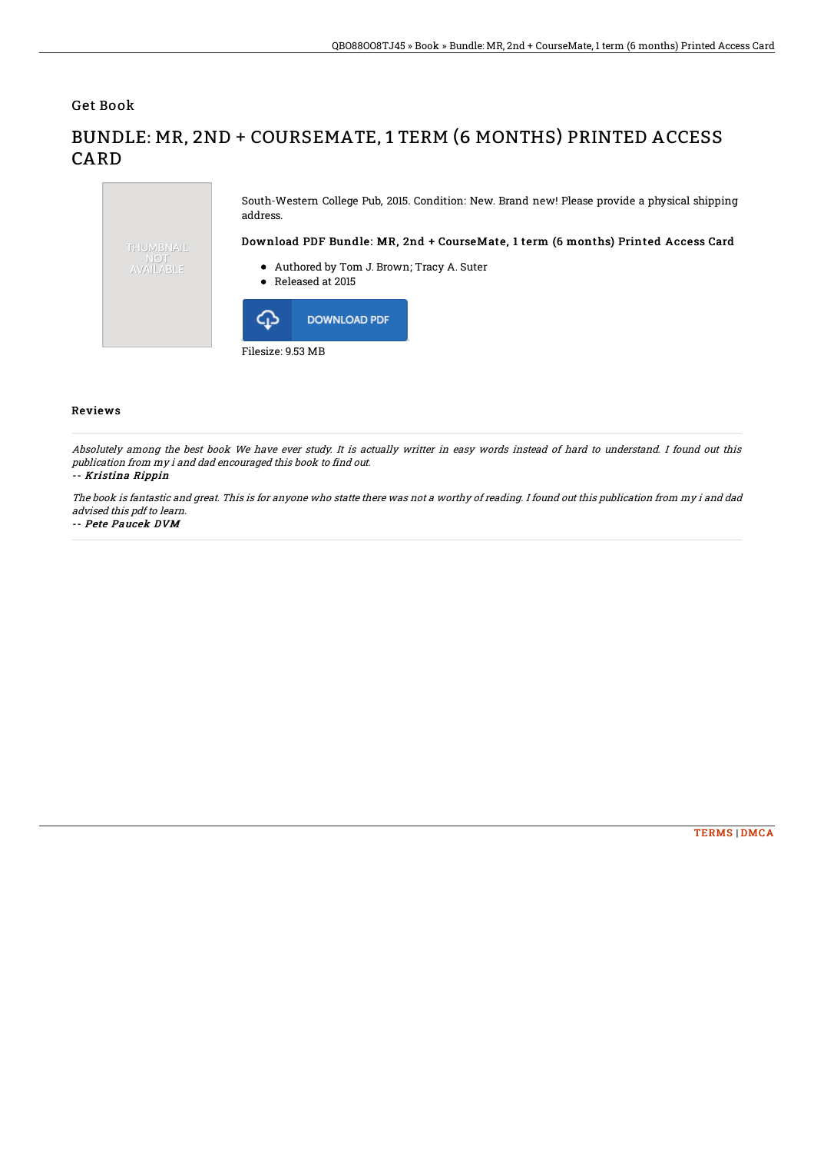Get Book

**CARD** 

## South-Western College Pub, 2015. Condition: New. Brand new! Please provide a physical shipping address. Download PDF Bundle: MR, 2nd + CourseMate, 1 term (6 months) Printed Access Card THUMBNAIL AVAILABLE Authored by Tom J. Brown; Tracy A. Suter Released at 2015 ⊪ **DOWNLOAD PDF** Filesize: 9.53 MB

BUNDLE: MR, 2ND + COURSEMATE, 1 TERM (6 MONTHS) PRINTED ACCESS

## Reviews

Absolutely among the best book We have ever study. It is actually writter in easy words instead of hard to understand. I found out this publication from my i and dad encouraged this book to find out.

## -- Kristina Rippin

The book is fantastic and great. This is for anyone who statte there was not <sup>a</sup> worthy of reading. I found out this publication from my i and dad advised this pdf to learn.

-- Pete Paucek DVM